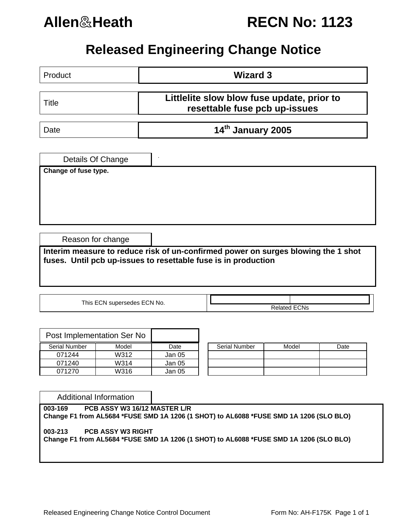

**Allen**&**Heath RECN No: 1123**

## **Released Engineering Change Notice**

| Product                     | <b>Wizard 3</b>                                                                                                                                     |
|-----------------------------|-----------------------------------------------------------------------------------------------------------------------------------------------------|
| <b>Title</b>                | Littlelite slow blow fuse update, prior to<br>resettable fuse pcb up-issues                                                                         |
| Date                        | 14th January 2005                                                                                                                                   |
| Details Of Change           |                                                                                                                                                     |
| Change of fuse type.        |                                                                                                                                                     |
|                             |                                                                                                                                                     |
|                             |                                                                                                                                                     |
| Reason for change           |                                                                                                                                                     |
|                             | Interim measure to reduce risk of un-confirmed power on surges blowing the 1 shot<br>fuses. Until pcb up-issues to resettable fuse is in production |
|                             |                                                                                                                                                     |
| This ECN supersedes ECN No. |                                                                                                                                                     |
|                             | <b>Related ECNs</b>                                                                                                                                 |
|                             |                                                                                                                                                     |

| Post Implementation Ser No |       |        |               |       |      |
|----------------------------|-------|--------|---------------|-------|------|
| <b>Serial Number</b>       | Model | Date   | Serial Number | Model | Date |
| 071244                     | W312  | Jan 05 |               |       |      |
| 071240                     | W314  | Jan 05 |               |       |      |
| 071270                     | W316  | Jan 05 |               |       |      |

| <b>Serial Number</b> | Model | Date |
|----------------------|-------|------|
|                      |       |      |
|                      |       |      |
|                      |       |      |

Additional Information

**003-169 PCB ASSY W3 16/12 MASTER L/R Change F1 from AL5684 \*FUSE SMD 1A 1206 (1 SHOT) to AL6088 \*FUSE SMD 1A 1206 (SLO BLO) 003-213 PCB ASSY W3 RIGHT Change F1 from AL5684 \*FUSE SMD 1A 1206 (1 SHOT) to AL6088 \*FUSE SMD 1A 1206 (SLO BLO)**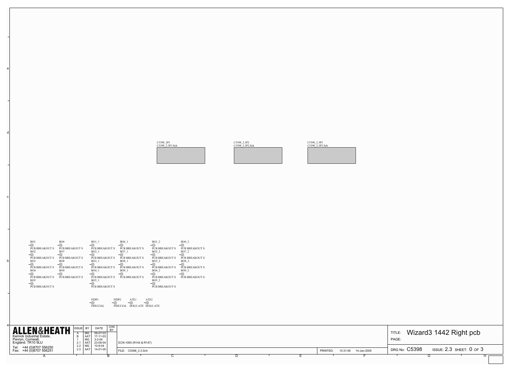| PAGE: | TITLE: Wizard3 1442 Right pcb                                 |  |
|-------|---------------------------------------------------------------|--|
|       | DRG No: $\,$ C5398 $\,$<br>ISSUE: 2.3 SHEET: 0 OF 3<br>G<br>н |  |

a

b

c

d

e

| <b>ALLEN&amp;HEATH</b>                 | ISSUE BY |                           | DATE                     | I CHK<br><b>RY</b> |                        |  |  |          |                         |               |                                |  |
|----------------------------------------|----------|---------------------------|--------------------------|--------------------|------------------------|--|--|----------|-------------------------|---------------|--------------------------------|--|
| Kernick Industrial Estate,             |          | MG<br>I AAT               | $09-07-03$<br>$17-11-03$ |                    |                        |  |  |          |                         | <b>TITLE</b>  | Wizard3 1442 Right pcb         |  |
| Penryn, Cornwall,<br>England. TR10 9LU |          | l MG<br>2.1   AAT         | $3 - 2 - 04$<br>23-08-04 |                    | ECN-1065 (R144 & R147) |  |  |          |                         | PAGE:         |                                |  |
| Tel: +44 (0)8707 556250                |          | 2.2   MG  <br>2.3 $ $ AAT | 10-9-04<br>14-01-05      |                    |                        |  |  |          |                         | DRG No: C5398 | ISSUE: $2.3$ SHEET: $0$ of $3$ |  |
| Fax: +44 (0)8707 556251                |          |                           |                          |                    | FILE: C5398 2.3.Sch    |  |  | PRINTED: | 10:31:06<br>14-Jan-2005 |               |                                |  |
|                                        |          |                           |                          |                    |                        |  |  |          |                         |               |                                |  |

| BO1                                      | <b>BO6</b>                               | <b>BO1 1</b>                          | <b>BO6</b> 1                          | <b>BO1 2</b>                   | BO6 2                                 |
|------------------------------------------|------------------------------------------|---------------------------------------|---------------------------------------|--------------------------------|---------------------------------------|
| <b>PCB BREAKOUT S</b>                    | <b>PCB BREAKOUT S</b>                    | <b>PCB BREAKOUT S</b>                 | <b>PCB BREAKOUT S</b>                 | <b>PCB BREAKOUT S</b>          | <b>PCB BREAKOUT S</b>                 |
| BO <sub>2</sub>                          | BO <sub>7</sub>                          | <b>BO2</b> 1                          | <b>BO7</b> 1                          | BO <sub>2</sub> 2              | BO7 2                                 |
|                                          | –∟                                       |                                       |                                       |                                |                                       |
| <b>PCB BREAKOUT S</b><br>BO <sub>3</sub> | <b>PCB BREAKOUT S</b><br>BO <sub>8</sub> | <b>PCB BREAKOUT S</b><br><b>BO3</b> 1 | <b>PCB BREAKOUT S</b><br><b>BO8 1</b> | <b>PCB BREAKOUT S</b><br>BO3 2 | <b>PCB BREAKOUT S</b><br><b>BO8 2</b> |
| ⊣                                        | -                                        |                                       |                                       |                                |                                       |
| <b>PCB BREAKOUT S</b>                    | <b>PCB BREAKOUT S</b>                    | <b>PCB BREAKOUT S</b>                 | <b>PCB BREAKOUT S</b>                 | <b>PCB BREAKOUT S</b>          | <b>PCB BREAKOUT S</b>                 |
| <b>BO4</b>                               | BO <sub>9</sub><br>-                     | BO4 1                                 | BO9 1                                 | BO4 2                          | BO <sub>9</sub> 2                     |
| <b>PCB BREAKOUT S</b>                    | <b>PCB BREAKOUT S</b>                    | <b>PCB BREAKOUT S</b>                 | <b>PCB BREAKOUT S</b>                 | <b>PCB BREAKOUT S</b>          | <b>PCB BREAKOUT S</b>                 |
| BO <sub>5</sub>                          |                                          | <b>BO5</b> 1                          |                                       | <b>BO5 2</b>                   |                                       |
| ⊣<br><b>PCB BREAKOUT S</b>               |                                          | <b>PCB BREAKOUT S</b>                 |                                       | <b>PCB BREAKOUT S</b>          |                                       |
|                                          |                                          |                                       |                                       |                                |                                       |
|                                          |                                          |                                       |                                       |                                |                                       |

FIDP1 FIDUCIAL FIDP2 FIDUCIAL ATE1 HOLE-ATE ATE2 HOLE-ATE

C5398\_3P1 C5398\_2.3P1.Sch

C5398\_2.3P2 C5398\_2.3P2.Sch

C5398\_2.3P3 C5398\_2.3P3.Sch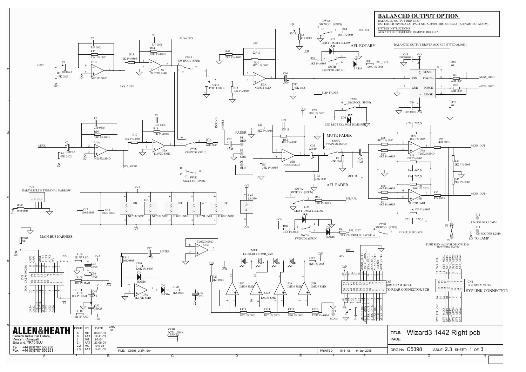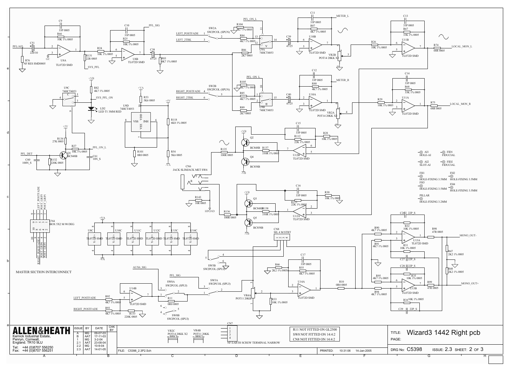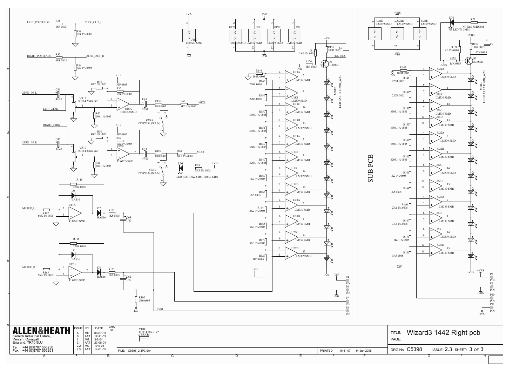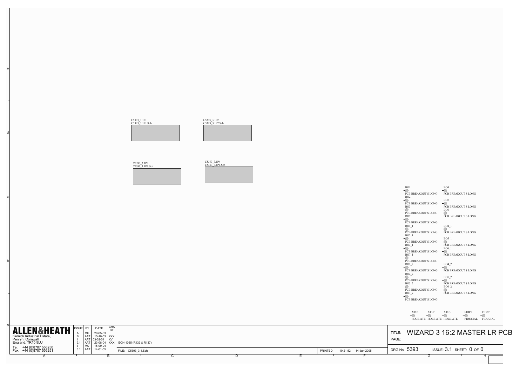|                                                                                                                                                                                                                      |                                                           | PCB BREAKOUT S LONG<br>BO7<br>-<br>PCB BREAKOUT S LONG                                                                                                                      |
|----------------------------------------------------------------------------------------------------------------------------------------------------------------------------------------------------------------------|-----------------------------------------------------------|-----------------------------------------------------------------------------------------------------------------------------------------------------------------------------|
|                                                                                                                                                                                                                      |                                                           | $\overline{\bigcirc}^{\text{FIDP1}}$<br>$\bigodot^{\text{ATE1}}$<br>$\bigodot^{\text{ATE2}}$<br>$\bigcirc$ ATE3<br>-U<br>P<br><b>FIDUCIAL</b><br>HOLE-ATE HOLE-ATE HOLE-ATE |
| СНК<br>ISSUE BY DATE<br><b>ALLEN&amp;HEATH</b><br><b>BY</b><br>29-05-03<br>Kernick Industrial Estate,<br>$\overline{B}$<br>AAT 15-10-03<br>15-10-03 XXX<br>Penryn, Cornwall,<br>England. TR10 9LU<br>KV<br>2.1 $AAT$ | 23-08-04   XXX   ECN-1065 (R132 & R137)                   | <b>WIZARD 3 16:2 MASTER</b><br>TITLE:<br>PAGE:                                                                                                                              |
| $\begin{array}{c c} 3 & \text{MG} \\ 3.1 & \text{AAT} \end{array}$<br>15-09-04<br>Tel: +44 (0)8707 556250<br>Fax: +44 (0)8707 556251<br>14-01-05                                                                     | FILE: C5393 3.1.Sch<br>10:21:52   14-Jan-2005<br>PRINTED: | DRG No: 5393<br>ISSUE: $3.1$ SHEET: $0$ of $0$                                                                                                                              |
|                                                                                                                                                                                                                      |                                                           | ι-۱                                                                                                                                                                         |

b

c

d

e

| BO1                                                                                                         | BO <sub>4</sub>                                                                                                   |
|-------------------------------------------------------------------------------------------------------------|-------------------------------------------------------------------------------------------------------------------|
| ()<br>PCB BREAKOUT S LONG<br>BO <sub>2</sub><br>◯<br>PCB BREAKOUT S LONG<br>BO <sub>3</sub><br>()           | PCB BREAKOUT S LONG<br>BO <sub>5</sub><br>()<br>PCB BREAKOUT S LONG<br><b>BO6</b>                                 |
| PCB BREAKOUT S LONG<br>BO7<br>()<br>PCB BREAKOUT S LONG<br>BO1 1<br>PCB BREAKOUT S LONG                     | ( )<br>PCB BREAKOUT S LONG<br>BO4 1<br>PCB BREAKOUT S LONG                                                        |
| BO <sub>2</sub> 1<br>PCB BREAKOUT S LONG<br>BO3 1<br>()<br>PCB BREAKOUT S LONG<br>BO7 1<br>( )              | BO5 1<br>()<br>PCB BREAKOUT S LONG<br><b>BO6</b> 1<br>()<br>PCB BREAKOUT S LONG                                   |
| PCB BREAKOUT S LONG<br><b>BO1 2</b><br>PCB BREAKOUT S LONG<br>BO <sub>2</sub> 2<br>⊖<br>PCB BREAKOUT S LONG | BO4 2<br>PCB BREAKOUT S LONG<br><b>BO5 2</b><br>()                                                                |
| BO3 2<br>PCB BREAKOUT S LONG<br>BO7 2<br>PCB BREAKOUT S LONG                                                | PCB BREAKOUT S LONG<br>BO6_2<br>$\left(\begin{array}{c}\right)$<br>PCB BREAKOUT S LONG                            |
| $\overline{\phantom{0}}$                                                                                    | ATE1 ATE2 ATE3 FIDP1 FIDP2<br>$\overline{\bigcirc}$<br>$\bigcirc$<br>HOLE-ATE HOLE-ATE HOLE-ATE FIDUCIAL FIDUCIAL |
| PAGE:                                                                                                       | TITLE: WIZARD 3 16:2 MASTER LR PCB                                                                                |
| DRG No: $5393$ ISSUE: $3.1$ SHEET: $0$ of $0$<br>$\overline{\phantom{0}}$<br>G                              | H                                                                                                                 |

C5393\_3.1P1 C5393\_3.1P1.Sch

C5393\_3.1P2 C5393\_3.1P2.Sch

| C5393 3.1P3 | C5393 3.1P3.Sch |  |  |
|-------------|-----------------|--|--|
|             |                 |  |  |
|             |                 |  |  |
|             |                 |  |  |

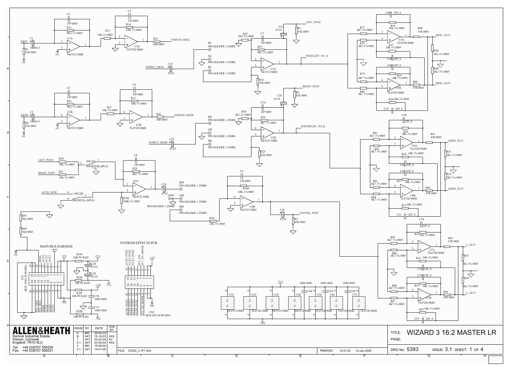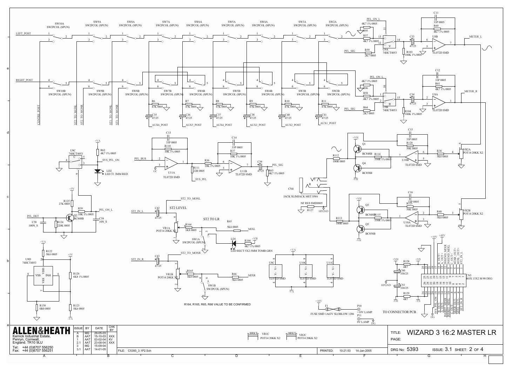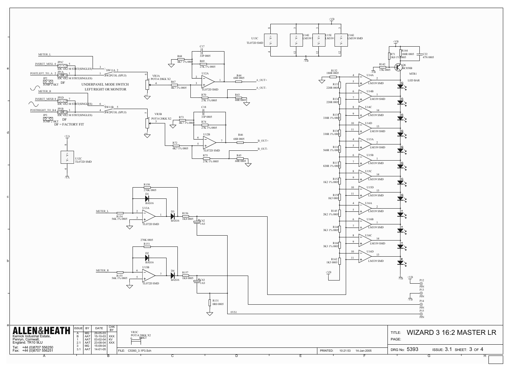